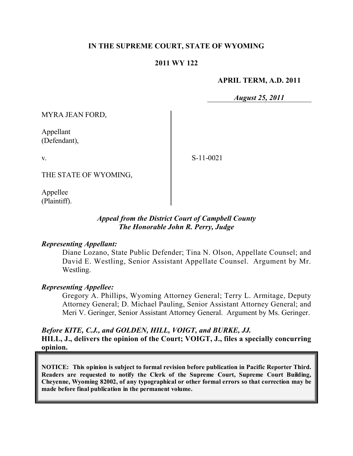# **IN THE SUPREME COURT, STATE OF WYOMING**

## **2011 WY 122**

### **APRIL TERM, A.D. 2011**

*August 25, 2011*

MYRA JEAN FORD,

Appellant (Defendant),

v.

S-11-0021

THE STATE OF WYOMING,

Appellee (Plaintiff).

# *Appeal from the District Court of Campbell County The Honorable John R. Perry, Judge*

## *Representing Appellant:*

Diane Lozano, State Public Defender; Tina N. Olson, Appellate Counsel; and David E. Westling, Senior Assistant Appellate Counsel. Argument by Mr. Westling.

### *Representing Appellee:*

Gregory A. Phillips, Wyoming Attorney General; Terry L. Armitage, Deputy Attorney General; D. Michael Pauling, Senior Assistant Attorney General; and Meri V. Geringer, Senior Assistant Attorney General. Argument by Ms. Geringer.

### *Before KITE, C.J., and GOLDEN, HILL, VOIGT, and BURKE, JJ.* **HILL, J., delivers the opinion of the Court; VOIGT, J., files a specially concurring opinion.**

**NOTICE: This opinion is subject to formal revision before publication in Pacific Reporter Third. Readers are requested to notify the Clerk of the Supreme Court, Supreme Court Building, Cheyenne, Wyoming 82002, of any typographical or other formal errors so that correction may be made before final publication in the permanent volume.**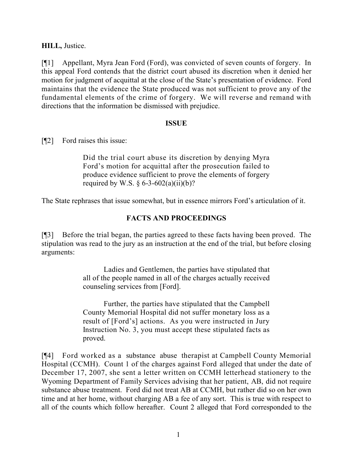**HILL,** Justice.

[¶1] Appellant, Myra Jean Ford (Ford), was convicted of seven counts of forgery. In this appeal Ford contends that the district court abused its discretion when it denied her motion for judgment of acquittal at the close of the State's presentation of evidence. Ford maintains that the evidence the State produced was not sufficient to prove any of the fundamental elements of the crime of forgery. We will reverse and remand with directions that the information be dismissed with prejudice.

# **ISSUE**

[¶2] Ford raises this issue:

Did the trial court abuse its discretion by denying Myra Ford's motion for acquittal after the prosecution failed to produce evidence sufficient to prove the elements of forgery required by W.S.  $\S 6-3-602(a)(ii)(b)$ ?

The State rephrases that issue somewhat, but in essence mirrors Ford's articulation of it.

# **FACTS AND PROCEEDINGS**

[¶3] Before the trial began, the parties agreed to these facts having been proved. The stipulation was read to the jury as an instruction at the end of the trial, but before closing arguments:

> Ladies and Gentlemen, the parties have stipulated that all of the people named in all of the charges actually received counseling services from [Ford].

> Further, the parties have stipulated that the Campbell County Memorial Hospital did not suffer monetary loss as a result of [Ford's] actions. As you were instructed in Jury Instruction No. 3, you must accept these stipulated facts as proved.

[¶4] Ford worked as a substance abuse therapist at Campbell County Memorial Hospital (CCMH). Count 1 of the charges against Ford alleged that under the date of December 17, 2007, she sent a letter written on CCMH letterhead stationery to the Wyoming Department of Family Services advising that her patient, AB, did not require substance abuse treatment. Ford did not treat AB at CCMH, but rather did so on her own time and at her home, without charging AB a fee of any sort. This is true with respect to all of the counts which follow hereafter. Count 2 alleged that Ford corresponded to the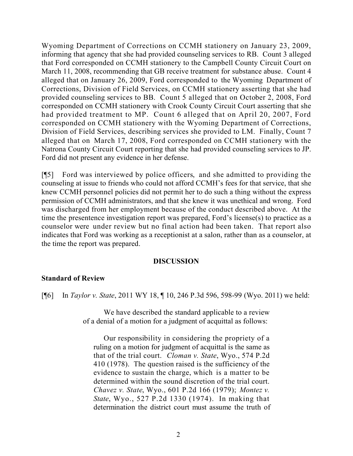Wyoming Department of Corrections on CCMH stationery on January 23, 2009, informing that agency that she had provided counseling services to RB. Count 3 alleged that Ford corresponded on CCMH stationery to the Campbell County Circuit Court on March 11, 2008, recommending that GB receive treatment for substance abuse. Count 4 alleged that on January 26, 2009, Ford corresponded to the Wyoming Department of Corrections, Division of Field Services, on CCMH stationery asserting that she had provided counseling services to BB. Count 5 alleged that on October 2, 2008, Ford corresponded on CCMH stationery with Crook County Circuit Court asserting that she had provided treatment to MP. Count 6 alleged that on April 20, 2007, Ford corresponded on CCMH stationery with the Wyoming Department of Corrections, Division of Field Services, describing services she provided to LM. Finally, Count 7 alleged that on March 17, 2008, Ford corresponded on CCMH stationery with the Natrona County Circuit Court reporting that she had provided counseling services to JP. Ford did not present any evidence in her defense.

[¶5] Ford was interviewed by police officers, and she admitted to providing the counseling at issue to friends who could not afford CCMH's fees for that service, that she knew CCMH personnel policies did not permit her to do such a thing without the express permission of CCMH administrators, and that she knew it was unethical and wrong. Ford was discharged from her employment because of the conduct described above. At the time the presentence investigation report was prepared, Ford's license(s) to practice as a counselor were under review but no final action had been taken. That report also indicates that Ford was working as a receptionist at a salon, rather than as a counselor, at the time the report was prepared.

## **DISCUSSION**

## **Standard of Review**

[¶6] In *Taylor v. State*, 2011 WY 18, ¶ 10, 246 P.3d 596, 598-99 (Wyo. 2011) we held:

We have described the standard applicable to a review of a denial of a motion for a judgment of acquittal as follows:

Our responsibility in considering the propriety of a ruling on a motion for judgment of acquittal is the same as that of the trial court. *Cloman v. State*, Wyo., 574 P.2d 410 (1978). The question raised is the sufficiency of the evidence to sustain the charge, which is a matter to be determined within the sound discretion of the trial court. *Chavez v. State*, Wyo., 601 P.2d 166 (1979); *Montez v. State*, Wyo., 527 P.2d 1330 (1974). In making that determination the district court must assume the truth of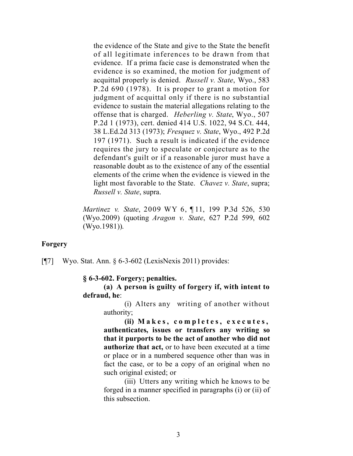the evidence of the State and give to the State the benefit of all legitimate inferences to be drawn from that evidence. If a prima facie case is demonstrated when the evidence is so examined, the motion for judgment of acquittal properly is denied. *Russell v. State*, Wyo., 583 P.2d 690 (1978). It is proper to grant a motion for judgment of acquittal only if there is no substantial evidence to sustain the material allegations relating to the offense that is charged. *Heberling v. State*, Wyo., 507 P.2d 1 (1973), cert. denied 414 U.S. 1022, 94 S.Ct. 444, 38 L.Ed.2d 313 (1973); *Fresquez v. State*, Wyo., 492 P.2d 197 (1971). Such a result is indicated if the evidence requires the jury to speculate or conjecture as to the defendant's guilt or if a reasonable juror must have a reasonable doubt as to the existence of any of the essential elements of the crime when the evidence is viewed in the light most favorable to the State. *Chavez v. State*, supra; *Russell v. State*, supra.

*Martinez v. State*, 2009 WY 6, ¶ 11, 199 P.3d 526, 530 (Wyo.2009) (quoting *Aragon v. State*, 627 P.2d 599, 602 (Wyo.1981)).

## **Forgery**

[¶7] Wyo. Stat. Ann. § 6-3-602 (LexisNexis 2011) provides:

### **§ 6-3-602. Forgery; penalties.**

**(a) A person is guilty of forgery if, with intent to defraud, he**:

> (i) Alters any writing of another without authority;

> **(ii) Makes, completes, executes, authenticates, issues or transfers any writing so that it purports to be the act of another who did not authorize that act,** or to have been executed at a time or place or in a numbered sequence other than was in fact the case, or to be a copy of an original when no such original existed; or

> (iii) Utters any writing which he knows to be forged in a manner specified in paragraphs (i) or (ii) of this subsection.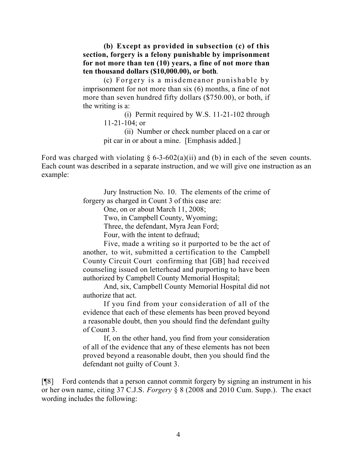**(b) Except as provided in subsection (c) of this section, forgery is a felony punishable by imprisonment for not more than ten (10) years, a fine of not more than ten thousand dollars (\$10,000.00), or both**.

(c) Forgery is a misdemeanor punishable by imprisonment for not more than six (6) months, a fine of not more than seven hundred fifty dollars (\$750.00), or both, if the writing is a:

(i) Permit required by W.S. 11-21-102 through 11-21-104; or

(ii) Number or check number placed on a car or pit car in or about a mine. [Emphasis added.]

Ford was charged with violating  $\S$  6-3-602(a)(ii) and (b) in each of the seven counts. Each count was described in a separate instruction, and we will give one instruction as an example:

> Jury Instruction No. 10. The elements of the crime of forgery as charged in Count 3 of this case are:

> > One, on or about March 11, 2008;

Two, in Campbell County, Wyoming;

Three, the defendant, Myra Jean Ford;

Four, with the intent to defraud;

Five, made a writing so it purported to be the act of another, to wit, submitted a certification to the Campbell County Circuit Court confirming that [GB] had received counseling issued on letterhead and purporting to have been authorized by Campbell County Memorial Hospital;

And, six, Campbell County Memorial Hospital did not authorize that act.

If you find from your consideration of all of the evidence that each of these elements has been proved beyond a reasonable doubt, then you should find the defendant guilty of Count 3.

If, on the other hand, you find from your consideration of all of the evidence that any of these elements has not been proved beyond a reasonable doubt, then you should find the defendant not guilty of Count 3.

[¶8] Ford contends that a person cannot commit forgery by signing an instrument in his or her own name, citing 37 C.J.S. *Forgery* § 8 (2008 and 2010 Cum. Supp.). The exact wording includes the following: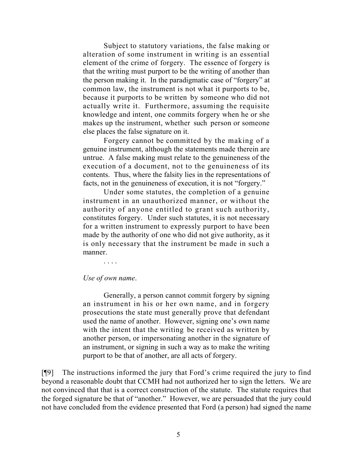Subject to statutory variations, the false making or alteration of some instrument in writing is an essential element of the crime of forgery. The essence of forgery is that the writing must purport to be the writing of another than the person making it. In the paradigmatic case of "forgery" at common law, the instrument is not what it purports to be, because it purports to be written by someone who did not actually write it. Furthermore, assuming the requisite knowledge and intent, one commits forgery when he or she makes up the instrument, whether such person or someone else places the false signature on it.

Forgery cannot be committed by the making of a genuine instrument, although the statements made therein are untrue. A false making must relate to the genuineness of the execution of a document, not to the genuineness of its contents. Thus, where the falsity lies in the representations of facts, not in the genuineness of execution, it is not "forgery."

Under some statutes, the completion of a genuine instrument in an unauthorized manner, or without the authority of anyone entitled to grant such authority, constitutes forgery. Under such statutes, it is not necessary for a written instrument to expressly purport to have been made by the authority of one who did not give authority, as it is only necessary that the instrument be made in such a manner.

### *Use of own name*.

Generally, a person cannot commit forgery by signing an instrument in his or her own name, and in forgery prosecutions the state must generally prove that defendant used the name of another. However, signing one's own name with the intent that the writing be received as written by another person, or impersonating another in the signature of an instrument, or signing in such a way as to make the writing purport to be that of another, are all acts of forgery.

[¶9] The instructions informed the jury that Ford's crime required the jury to find beyond a reasonable doubt that CCMH had not authorized her to sign the letters. We are not convinced that that is a correct construction of the statute. The statute requires that the forged signature be that of "another." However, we are persuaded that the jury could not have concluded from the evidence presented that Ford (a person) had signed the name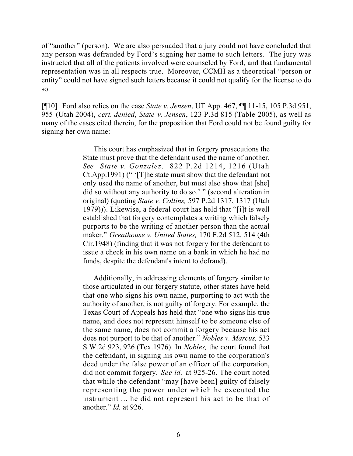of "another" (person). We are also persuaded that a jury could not have concluded that any person was defrauded by Ford's signing her name to such letters. The jury was instructed that all of the patients involved were counseled by Ford, and that fundamental representation was in all respects true. Moreover, CCMH as a theoretical "person or entity" could not have signed such letters because it could not qualify for the license to do so.

[¶10] Ford also relies on the case *State v. Jensen*, UT App. 467, ¶¶ 11-15, 105 P.3d 951, 955 (Utah 2004), *cert. denied*, *State v. Jensen*, 123 P.3d 815 (Table 2005), as well as many of the cases cited therein, for the proposition that Ford could not be found guilty for signing her own name:

> This court has emphasized that in forgery prosecutions the State must prove that the defendant used the name of another. *See State v. Gonzalez,* 822 P.2d 1214, 1216 (Utah Ct.App.1991) (" '[T]he state must show that the defendant not only used the name of another, but must also show that [she] did so without any authority to do so.' " (second alteration in original) (quoting *State v. Collins,* 597 P.2d 1317, 1317 (Utah 1979))). Likewise, a federal court has held that "[i]t is well established that forgery contemplates a writing which falsely purports to be the writing of another person than the actual maker." *Greathouse v. United States,* 170 F.2d 512, 514 (4th Cir.1948) (finding that it was not forgery for the defendant to issue a check in his own name on a bank in which he had no funds, despite the defendant's intent to defraud).

> Additionally, in addressing elements of forgery similar to those articulated in our forgery statute, other states have held that one who signs his own name, purporting to act with the authority of another, is not guilty of forgery. For example, the Texas Court of Appeals has held that "one who signs his true name, and does not represent himself to be someone else of the same name, does not commit a forgery because his act does not purport to be that of another." *Nobles v. Marcus,* 533 S.W.2d 923, 926 (Tex.1976). In *Nobles,* the court found that the defendant, in signing his own name to the corporation's deed under the false power of an officer of the corporation, did not commit forgery. *See id.* at 925-26. The court noted that while the defendant "may [have been] guilty of falsely representing the power under which he executed the instrument ... he did not represent his act to be that of another." *Id.* at 926.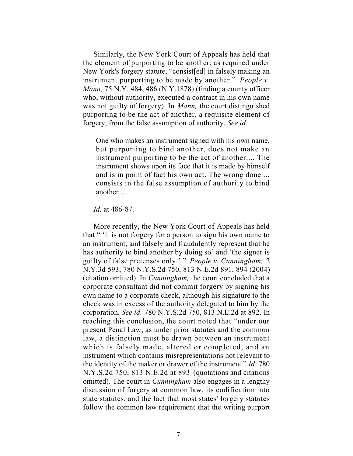Similarly, the New York Court of Appeals has held that the element of purporting to be another, as required under New York's forgery statute, "consist[ed] in falsely making an instrument purporting to be made by another." *People v. Mann,* 75 N.Y. 484, 486 (N.Y.1878) (finding a county officer who, without authority, executed a contract in his own name was not guilty of forgery). In *Mann,* the court distinguished purporting to be the act of another, a requisite element of forgery, from the false assumption of authority. *See id.*

One who makes an instrument signed with his own name, but purporting to bind another, does not make an instrument purporting to be the act of another.... The instrument shows upon its face that it is made by himself and is in point of fact his own act. The wrong done ... consists in the false assumption of authority to bind another ....

#### *Id.* at 486-87.

More recently, the New York Court of Appeals has held that " 'it is not forgery for a person to sign his own name to an instrument, and falsely and fraudulently represent that he has authority to bind another by doing so' and 'the signer is guilty of false pretenses only.' " *People v. Cunningham,* 2 N.Y.3d 593, 780 N.Y.S.2d 750, 813 N.E.2d 891, 894 (2004) (citation omitted). In *Cunningham,* the court concluded that a corporate consultant did not commit forgery by signing his own name to a corporate check, although his signature to the check was in excess of the authority delegated to him by the corporation. *See id.* 780 N.Y.S.2d 750, 813 N.E.2d at 892. In reaching this conclusion, the court noted that "under our present Penal Law, as under prior statutes and the common law, a distinction must be drawn between an instrument which is falsely made, altered or completed, and an instrument which contains misrepresentations not relevant to the identity of the maker or drawer of the instrument." *Id.* 780 N.Y.S.2d 750, 813 N.E.2d at 893 (quotations and citations omitted). The court in *Cunningham* also engages in a lengthy discussion of forgery at common law, its codification into state statutes, and the fact that most states' forgery statutes follow the common law requirement that the writing purport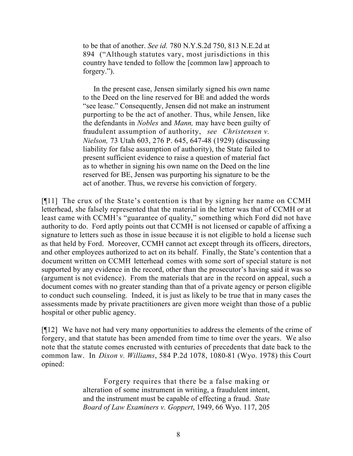to be that of another. *See id.* 780 N.Y.S.2d 750, 813 N.E.2d at 894 ("Although statutes vary, most jurisdictions in this country have tended to follow the [common law] approach to forgery.").

In the present case, Jensen similarly signed his own name to the Deed on the line reserved for BE and added the words "see lease." Consequently, Jensen did not make an instrument purporting to be the act of another. Thus, while Jensen, like the defendants in *Nobles* and *Mann,* may have been guilty of fraudulent assumption of authority, *see Christensen v. Nielson,* 73 Utah 603, 276 P. 645, 647-48 (1929) (discussing liability for false assumption of authority), the State failed to present sufficient evidence to raise a question of material fact as to whether in signing his own name on the Deed on the line reserved for BE, Jensen was purporting his signature to be the act of another. Thus, we reverse his conviction of forgery.

[¶11] The crux of the State's contention is that by signing her name on CCMH letterhead, she falsely represented that the material in the letter was that of CCMH or at least came with CCMH's "guarantee of quality," something which Ford did not have authority to do. Ford aptly points out that CCMH is not licensed or capable of affixing a signature to letters such as those in issue because it is not eligible to hold a license such as that held by Ford. Moreover, CCMH cannot act except through its officers, directors, and other employees authorized to act on its behalf. Finally, the State's contention that a document written on CCMH letterhead comes with some sort of special stature is not supported by any evidence in the record, other than the prosecutor's having said it was so (argument is not evidence). From the materials that are in the record on appeal, such a document comes with no greater standing than that of a private agency or person eligible to conduct such counseling. Indeed, it is just as likely to be true that in many cases the assessments made by private practitioners are given more weight than those of a public hospital or other public agency.

[¶12] We have not had very many opportunities to address the elements of the crime of forgery, and that statute has been amended from time to time over the years. We also note that the statute comes encrusted with centuries of precedents that date back to the common law. In *Dixon v. Williams*, 584 P.2d 1078, 1080-81 (Wyo. 1978) this Court opined:

> Forgery requires that there be a false making or alteration of some instrument in writing, a fraudulent intent, and the instrument must be capable of effecting a fraud. *State Board of Law Examiners v. Goppert*, 1949, 66 Wyo. 117, 205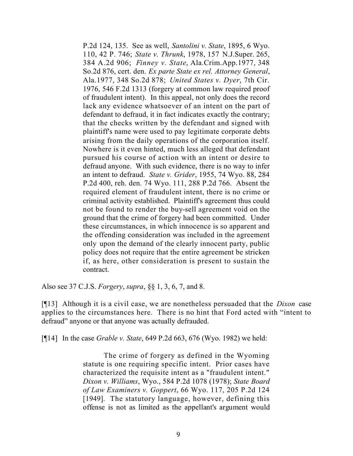P.2d 124, 135. See as well, *Santolini v. State*, 1895, 6 Wyo. 110, 42 P. 746; *State v. Thrunk*, 1978, 157 N.J.Super. 265, 384 A.2d 906; *Finney v. State*, Ala.Crim.App.1977, 348 So.2d 876, cert. den. *Ex parte State ex rel. Attorney General*, Ala.1977, 348 So.2d 878; *United States v. Dyer*, 7th Cir. 1976, 546 F.2d 1313 (forgery at common law required proof of fraudulent intent). In this appeal, not only does the record lack any evidence whatsoever of an intent on the part of defendant to defraud, it in fact indicates exactly the contrary; that the checks written by the defendant and signed with plaintiff's name were used to pay legitimate corporate debts arising from the daily operations of the corporation itself. Nowhere is it even hinted, much less alleged that defendant pursued his course of action with an intent or desire to defraud anyone. With such evidence, there is no way to infer an intent to defraud. *State v. Grider*, 1955, 74 Wyo. 88, 284 P.2d 400, reh. den. 74 Wyo. 111, 288 P.2d 766. Absent the required element of fraudulent intent, there is no crime or criminal activity established. Plaintiff's agreement thus could not be found to render the buy-sell agreement void on the ground that the crime of forgery had been committed. Under these circumstances, in which innocence is so apparent and the offending consideration was included in the agreement only upon the demand of the clearly innocent party, public policy does not require that the entire agreement be stricken if, as here, other consideration is present to sustain the contract.

Also see 37 C.J.S. *Forgery*, *supra*, §§ 1, 3, 6, 7, and 8.

[¶13] Although it is a civil case, we are nonetheless persuaded that the *Dixon* case applies to the circumstances here. There is no hint that Ford acted with "intent to defraud" anyone or that anyone was actually defrauded.

[¶14] In the case *Grable v. State*, 649 P.2d 663, 676 (Wyo. 1982) we held:

The crime of forgery as defined in the Wyoming statute is one requiring specific intent. Prior cases have characterized the requisite intent as a "fraudulent intent." *Dixon v. Williams*, Wyo., 584 P.2d 1078 (1978); *State Board of Law Examiners v. Goppert*, 66 Wyo. 117, 205 P.2d 124 [1949]. The statutory language, however, defining this offense is not as limited as the appellant's argument would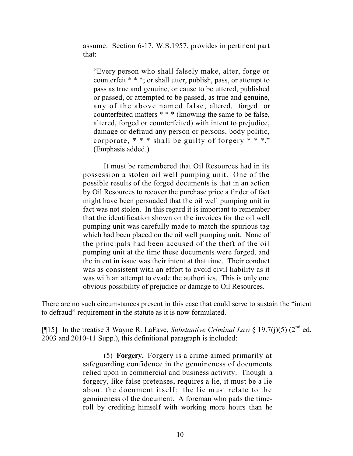assume. Section 6-17, W.S.1957, provides in pertinent part that:

"Every person who shall falsely make, alter, forge or counterfeit \* \* \*; or shall utter, publish, pass, or attempt to pass as true and genuine, or cause to be uttered, published or passed, or attempted to be passed, as true and genuine, any of the above named false, altered, forged or counterfeited matters \* \* \* (knowing the same to be false, altered, forged or counterfeited) with intent to prejudice, damage or defraud any person or persons, body politic, corporate,  $***$  shall be guilty of forgery  $***$ . (Emphasis added.)

It must be remembered that Oil Resources had in its possession a stolen oil well pumping unit. One of the possible results of the forged documents is that in an action by Oil Resources to recover the purchase price a finder of fact might have been persuaded that the oil well pumping unit in fact was not stolen. In this regard it is important to remember that the identification shown on the invoices for the oil well pumping unit was carefully made to match the spurious tag which had been placed on the oil well pumping unit. None of the principals had been accused of the theft of the oil pumping unit at the time these documents were forged, and the intent in issue was their intent at that time. Their conduct was as consistent with an effort to avoid civil liability as it was with an attempt to evade the authorities. This is only one obvious possibility of prejudice or damage to Oil Resources.

There are no such circumstances present in this case that could serve to sustain the "intent to defraud" requirement in the statute as it is now formulated.

[¶15] In the treatise 3 Wayne R. LaFave, *Substantive Criminal Law* § 19.7(j)(5) (2<sup>nd</sup> ed. 2003 and 2010-11 Supp.), this definitional paragraph is included:

> (5) **Forgery.** Forgery is a crime aimed primarily at safeguarding confidence in the genuineness of documents relied upon in commercial and business activity. Though a forgery, like false pretenses, requires a lie, it must be a lie about the document itself: the lie must relate to the genuineness of the document. A foreman who pads the timeroll by crediting himself with working more hours than he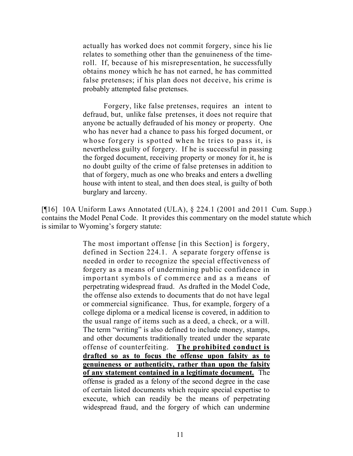actually has worked does not commit forgery, since his lie relates to something other than the genuineness of the timeroll. If, because of his misrepresentation, he successfully obtains money which he has not earned, he has committed false pretenses; if his plan does not deceive, his crime is probably attempted false pretenses.

Forgery, like false pretenses, requires an intent to defraud, but, unlike false pretenses, it does not require that anyone be actually defrauded of his money or property. One who has never had a chance to pass his forged document, or whose forgery is spotted when he tries to pass it, is nevertheless guilty of forgery. If he is successful in passing the forged document, receiving property or money for it, he is no doubt guilty of the crime of false pretenses in addition to that of forgery, much as one who breaks and enters a dwelling house with intent to steal, and then does steal, is guilty of both burglary and larceny.

[¶16] 10A Uniform Laws Annotated (ULA), § 224.1 (2001 and 2011 Cum. Supp.) contains the Model Penal Code. It provides this commentary on the model statute which is similar to Wyoming's forgery statute:

> The most important offense [in this Section] is forgery, defined in Section 224.1. A separate forgery offense is needed in order to recognize the special effectiveness of forgery as a means of undermining public confidence in important symbols of commerce and as a means of perpetrating widespread fraud. As drafted in the Model Code, the offense also extends to documents that do not have legal or commercial significance. Thus, for example, forgery of a college diploma or a medical license is covered, in addition to the usual range of items such as a deed, a check, or a will. The term "writing" is also defined to include money, stamps, and other documents traditionally treated under the separate offense of counterfeiting. **The prohibited conduct is drafted so as to focus the offense upon falsity as to genuineness or authenticity, rather than upon the falsity of any statement contained in a legitimate document.** The offense is graded as a felony of the second degree in the case of certain listed documents which require special expertise to execute, which can readily be the means of perpetrating widespread fraud, and the forgery of which can undermine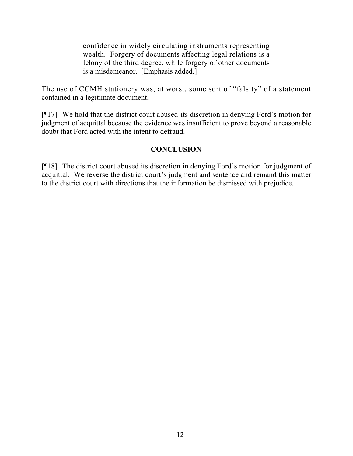confidence in widely circulating instruments representing wealth. Forgery of documents affecting legal relations is a felony of the third degree, while forgery of other documents is a misdemeanor. [Emphasis added.]

The use of CCMH stationery was, at worst, some sort of "falsity" of a statement contained in a legitimate document.

[¶17] We hold that the district court abused its discretion in denying Ford's motion for judgment of acquittal because the evidence was insufficient to prove beyond a reasonable doubt that Ford acted with the intent to defraud.

# **CONCLUSION**

[¶18] The district court abused its discretion in denying Ford's motion for judgment of acquittal. We reverse the district court's judgment and sentence and remand this matter to the district court with directions that the information be dismissed with prejudice.